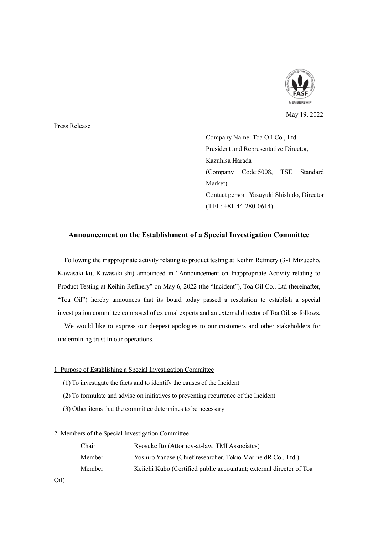

May 19, 2022

Press Release

Company Name: Toa Oil Co., Ltd. President and Representative Director, Kazuhisa Harada (Company Code:5008, TSE Standard Market) Contact person: Yasuyuki Shishido, Director (TEL: +81-44-280-0614)

## **Announcement on the Establishment of a Special Investigation Committee**

Following the inappropriate activity relating to product testing at Keihin Refinery (3-1 Mizuecho, Kawasaki-ku, Kawasaki-shi) announced in "Announcement on Inappropriate Activity relating to Product Testing at Keihin Refinery" on May 6, 2022 (the "Incident"), Toa Oil Co., Ltd (hereinafter, "Toa Oil") hereby announces that its board today passed a resolution to establish a special investigation committee composed of external experts and an external director of Toa Oil, as follows.

We would like to express our deepest apologies to our customers and other stakeholders for undermining trust in our operations.

## 1. Purpose of Establishing a Special Investigation Committee

- (1) To investigate the facts and to identify the causes of the Incident
- (2) To formulate and advise on initiatives to preventing recurrence of the Incident
- (3) Other items that the committee determines to be necessary

## 2. Members of the Special Investigation Committee

| Chair  | Ryosuke Ito (Attorney-at-law, TMI Associates)                       |
|--------|---------------------------------------------------------------------|
| Member | Yoshiro Yanase (Chief researcher, Tokio Marine dR Co., Ltd.)        |
| Member | Keiichi Kubo (Certified public accountant; external director of Toa |